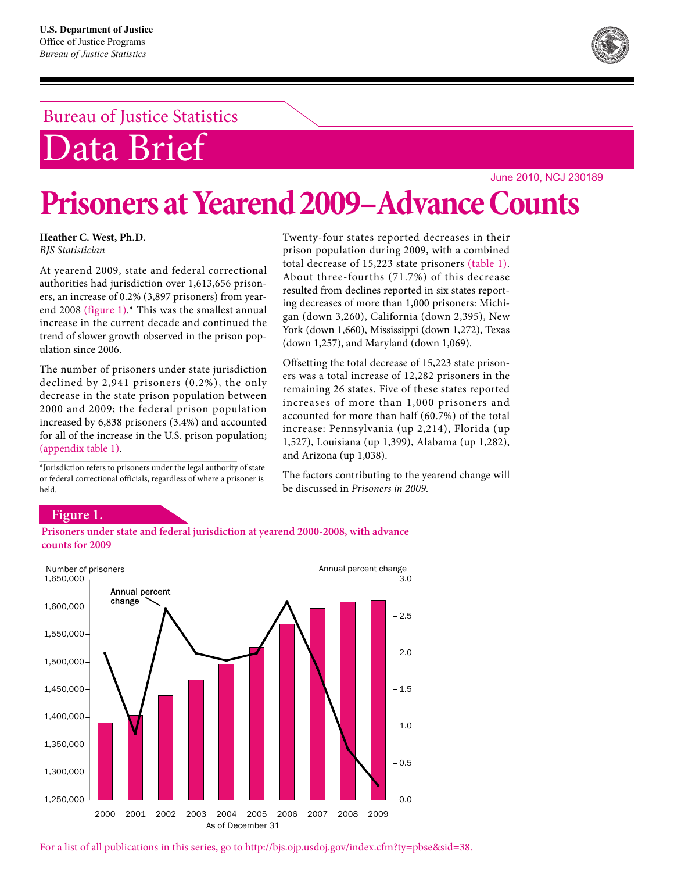## Bureau of Justice Statistics

# Data Brief

June 2010, NCJ 230189

# **Prisoners at Yearend 2009–Advance Counts**

**Heather C. West, Ph.D.**  *BJS Statistician*

At yearend 2009, state and federal correctional authorities had jurisdiction over 1,613,656 prisoners, an increase of 0.2% (3,897 prisoners) from yearend 2008 (figure 1).\* This was the smallest annual increase in the current decade and continued the trend of slower growth observed in the prison population since 2006.

The number of prisoners under state jurisdiction declined by 2,941 prisoners (0.2%), the only decrease in the state prison population between 2000 and 2009; the federal prison population increased by 6,838 prisoners (3.4%) and accounted for all of the increase in the U.S. prison population; (appendix table 1).

\*Jurisdiction refers to prisoners under the legal authority of state or federal correctional officials, regardless of where a prisoner is held.

Twenty-four states reported decreases in their prison population during 2009, with a combined total decrease of 15,223 state prisoners (table 1). About three-fourths (71.7%) of this decrease resulted from declines reported in six states reporting decreases of more than 1,000 prisoners: Michigan (down 3,260), California (down 2,395), New York (down 1,660), Mississippi (down 1,272), Texas (down 1,257), and Maryland (down 1,069).

Offsetting the total decrease of 15,223 state prisoners was a total increase of 12,282 prisoners in the remaining 26 states. Five of these states reported increases of more than 1,000 prisoners and accounted for more than half (60.7%) of the total increase: Pennsylvania (up 2,214), Florida (up 1,527), Louisiana (up 1,399), Alabama (up 1,282), and Arizona (up 1,038).

The factors contributing to the yearend change will be discussed in *Prisoners in 2009.*

#### **Figure 1.**





For a list of all publications in this series, go to http://bjs.ojp.usdoj.gov/index.cfm?ty=pbse&sid=38.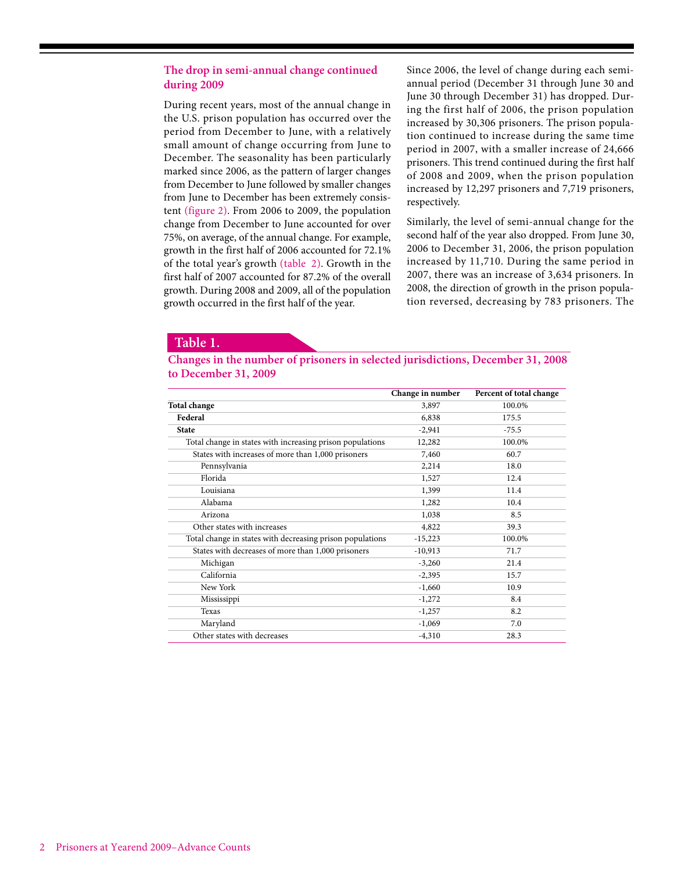#### **The drop in semi-annual change continued during 2009**

During recent years, most of the annual change in the U.S. prison population has occurred over the period from December to June, with a relatively small amount of change occurring from June to December. The seasonality has been particularly marked since 2006, as the pattern of larger changes from December to June followed by smaller changes from June to December has been extremely consistent (figure 2). From 2006 to 2009, the population change from December to June accounted for over 75%, on average, of the annual change. For example, growth in the first half of 2006 accounted for 72.1% of the total year's growth (table 2). Growth in the first half of 2007 accounted for 87.2% of the overall growth. During 2008 and 2009, all of the population growth occurred in the first half of the year.

Since 2006, the level of change during each semiannual period (December 31 through June 30 and June 30 through December 31) has dropped. During the first half of 2006, the prison population increased by 30,306 prisoners. The prison population continued to increase during the same time period in 2007, with a smaller increase of 24,666 prisoners. This trend continued during the first half of 2008 and 2009, when the prison population increased by 12,297 prisoners and 7,719 prisoners, respectively.

Similarly, the level of semi-annual change for the second half of the year also dropped. From June 30, 2006 to December 31, 2006, the prison population increased by 11,710. During the same period in 2007, there was an increase of 3,634 prisoners. In 2008, the direction of growth in the prison population reversed, decreasing by 783 prisoners. The

#### **Table 1.**

**Changes in the number of prisoners in selected jurisdictions, December 31, 2008 to December 31, 2009**

|                                                           | Change in number | Percent of total change |
|-----------------------------------------------------------|------------------|-------------------------|
| <b>Total change</b>                                       | 3,897            | 100.0%                  |
| Federal                                                   | 6,838            | 175.5                   |
| <b>State</b>                                              | $-2,941$         | $-75.5$                 |
| Total change in states with increasing prison populations | 12,282           | 100.0%                  |
| States with increases of more than 1,000 prisoners        | 7,460            | 60.7                    |
| Pennsylvania                                              | 2,214            | 18.0                    |
| Florida                                                   | 1,527            | 12.4                    |
| Louisiana                                                 | 1,399            | 11.4                    |
| Alabama                                                   | 1,282            | 10.4                    |
| Arizona                                                   | 1,038            | 8.5                     |
| Other states with increases                               | 4,822            | 39.3                    |
| Total change in states with decreasing prison populations | $-15,223$        | 100.0%                  |
| States with decreases of more than 1,000 prisoners        | $-10,913$        | 71.7                    |
| Michigan                                                  | $-3,260$         | 21.4                    |
| California                                                | $-2,395$         | 15.7                    |
| New York                                                  | $-1,660$         | 10.9                    |
| Mississippi                                               | $-1,272$         | 8.4                     |
| Texas                                                     | $-1,257$         | 8.2                     |
| Maryland                                                  | $-1,069$         | 7.0                     |
| Other states with decreases                               | $-4,310$         | 28.3                    |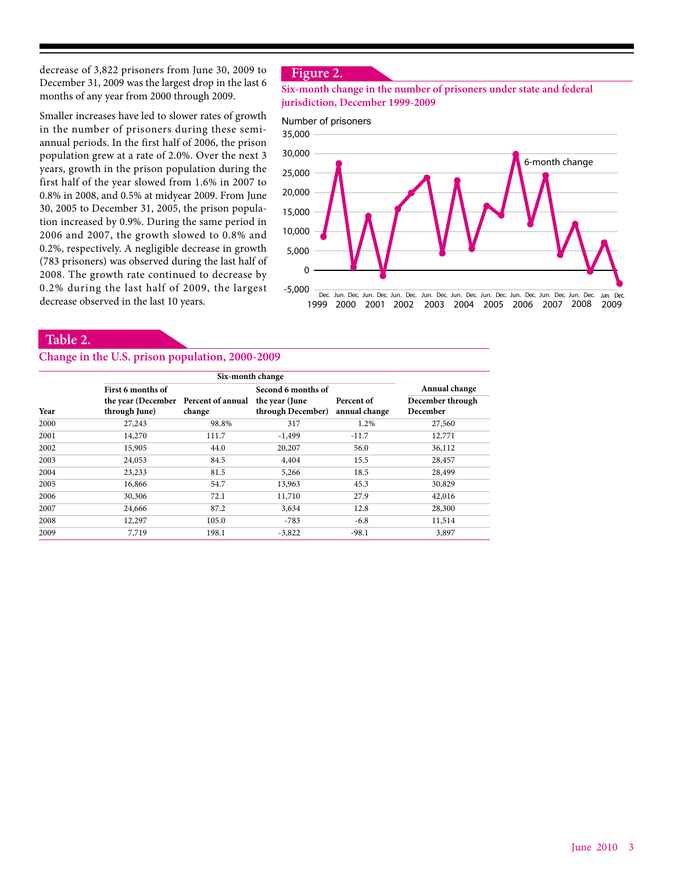decrease of 3,822 prisoners from June 30, 2009 to December 31, 2009 was the largest drop in the last 6 months of any year from 2000 through 2009.

Smaller increases have led to slower rates of growth in the number of prisoners during these semiannual periods. In the first half of 2006, the prison population grew at a rate of 2.0%. Over the next 3 years, growth in the prison population during the first half of the year slowed from 1.6% in 2007 to 0.8% in 2008, and 0.5% at midyear 2009. From June 30, 2005 to December 31, 2005, the prison population increased by 0.9%. During the same period in 2006 and 2007, the growth slowed to 0.8% and 0.2%, respectively. A negligible decrease in growth (783 prisoners) was observed during the last half of 2008. The growth rate continued to decrease by 0.2% during the last half of 2009, the largest decrease observed in the last 10 years.

#### **Figure 2.**

#### **Six-month change in the number of prisoners under state and federal jurisdiction, December 1999-2009**

#### Number of prisoners



#### **Table 2.**

#### **Change in the U.S. prison population, 2000-2009**

|      | Six-month change                     |        |                    |               |                  |  |
|------|--------------------------------------|--------|--------------------|---------------|------------------|--|
|      | First 6 months of                    |        | Second 6 months of |               | Annual change    |  |
|      | the year (December Percent of annual |        | the year (June     | Percent of    | December through |  |
| Year | through June)                        | change | through December)  | annual change | December         |  |
| 2000 | 27,243                               | 98.8%  | 317                | 1.2%          | 27,560           |  |
| 2001 | 14,270                               | 111.7  | $-1,499$           | $-11.7$       | 12,771           |  |
| 2002 | 15,905                               | 44.0   | 20,207             | 56.0          | 36,112           |  |
| 2003 | 24,053                               | 84.5   | 4,404              | 15.5          | 28,457           |  |
| 2004 | 23,233                               | 81.5   | 5,266              | 18.5          | 28,499           |  |
| 2005 | 16,866                               | 54.7   | 13,963             | 45.3          | 30,829           |  |
| 2006 | 30,306                               | 72.1   | 11,710             | 27.9          | 42,016           |  |
| 2007 | 24,666                               | 87.2   | 3,634              | 12.8          | 28,300           |  |
| 2008 | 12,297                               | 105.0  | $-783$             | $-6.8$        | 11,514           |  |
| 2009 | 7,719                                | 198.1  | $-3,822$           | $-98.1$       | 3,897            |  |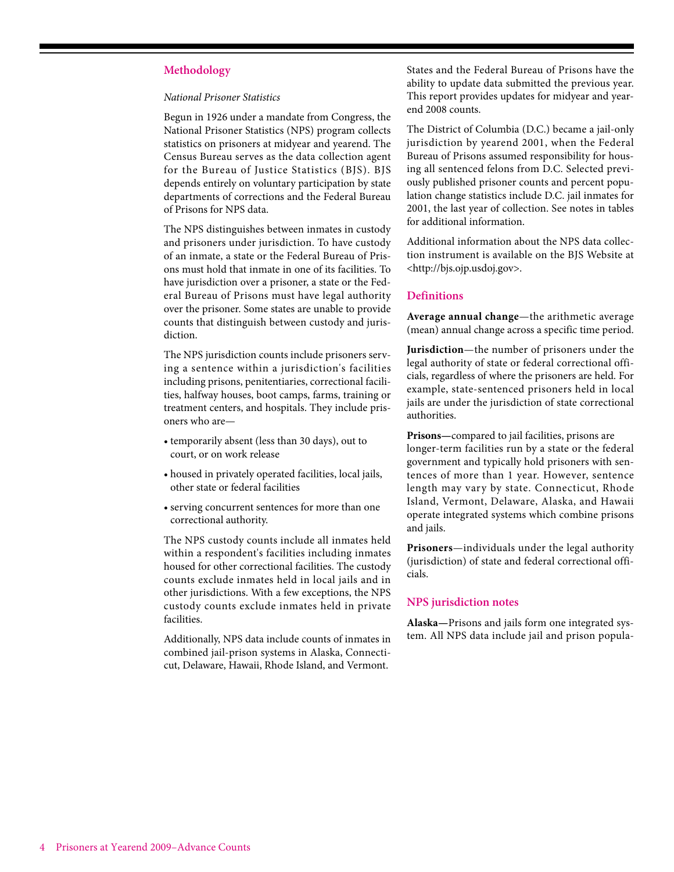#### **Methodology**

#### *National Prisoner Statistics*

Begun in 1926 under a mandate from Congress, the National Prisoner Statistics (NPS) program collects statistics on prisoners at midyear and yearend. The Census Bureau serves as the data collection agent for the Bureau of Justice Statistics (BJS). BJS depends entirely on voluntary participation by state departments of corrections and the Federal Bureau of Prisons for NPS data.

The NPS distinguishes between inmates in custody and prisoners under jurisdiction. To have custody of an inmate, a state or the Federal Bureau of Prisons must hold that inmate in one of its facilities. To have jurisdiction over a prisoner, a state or the Federal Bureau of Prisons must have legal authority over the prisoner. Some states are unable to provide counts that distinguish between custody and jurisdiction.

The NPS jurisdiction counts include prisoners serving a sentence within a jurisdiction's facilities including prisons, penitentiaries, correctional facilities, halfway houses, boot camps, farms, training or treatment centers, and hospitals. They include prisoners who are—

- temporarily absent (less than 30 days), out to court, or on work release
- housed in privately operated facilities, local jails, other state or federal facilities
- serving concurrent sentences for more than one correctional authority.

The NPS custody counts include all inmates held within a respondent's facilities including inmates housed for other correctional facilities. The custody counts exclude inmates held in local jails and in other jurisdictions. With a few exceptions, the NPS custody counts exclude inmates held in private facilities.

Additionally, NPS data include counts of inmates in combined jail-prison systems in Alaska, Connecticut, Delaware, Hawaii, Rhode Island, and Vermont.

States and the Federal Bureau of Prisons have the ability to update data submitted the previous year. This report provides updates for midyear and yearend 2008 counts.

The District of Columbia (D.C.) became a jail-only jurisdiction by yearend 2001, when the Federal Bureau of Prisons assumed responsibility for housing all sentenced felons from D.C. Selected previously published prisoner counts and percent population change statistics include D.C. jail inmates for 2001, the last year of collection. See notes in tables for additional information.

Additional information about the NPS data collection instrument is available on the BJS Website at <http://bjs.ojp.usdoj.gov>.

#### **Definitions**

**Average annual change**—the arithmetic average (mean) annual change across a specific time period.

**Jurisdiction**—the number of prisoners under the legal authority of state or federal correctional officials, regardless of where the prisoners are held. For example, state-sentenced prisoners held in local jails are under the jurisdiction of state correctional authorities.

**Prisons—**compared to jail facilities, prisons are longer-term facilities run by a state or the federal government and typically hold prisoners with sentences of more than 1 year. However, sentence length may vary by state. Connecticut, Rhode Island, Vermont, Delaware, Alaska, and Hawaii operate integrated systems which combine prisons and jails.

**Prisoners**—individuals under the legal authority (jurisdiction) of state and federal correctional officials.

#### **NPS jurisdiction notes**

**Alaska—**Prisons and jails form one integrated system. All NPS data include jail and prison popula-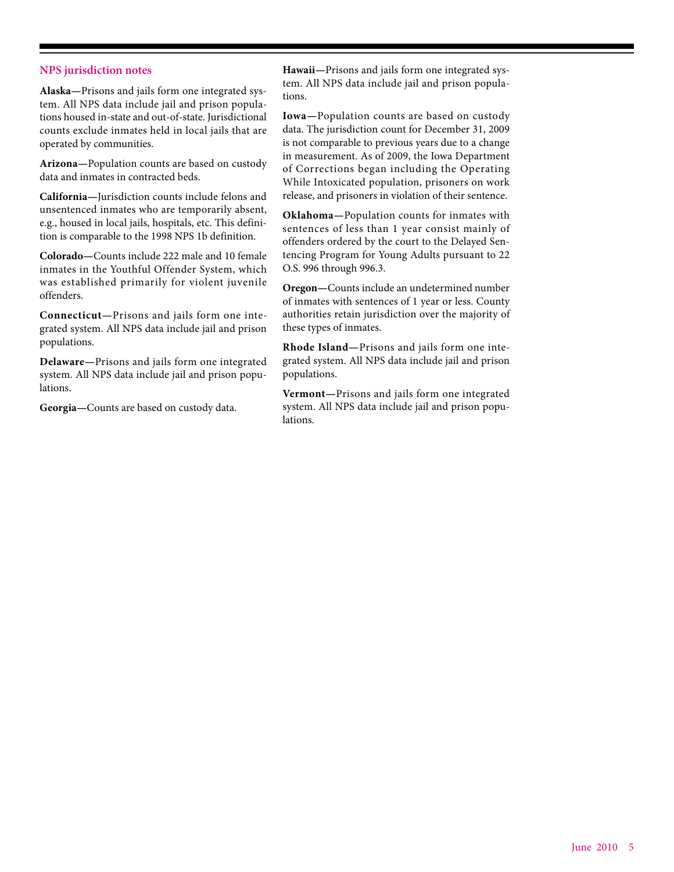#### **NPS jurisdiction notes**

**Alaska—**Prisons and jails form one integrated system. All NPS data include jail and prison populations housed in-state and out-of-state. Jurisdictional counts exclude inmates held in local jails that are operated by communities.

**Arizona—**Population counts are based on custody data and inmates in contracted beds.

**California—**Jurisdiction counts include felons and unsentenced inmates who are temporarily absent, e.g., housed in local jails, hospitals, etc. This definition is comparable to the 1998 NPS 1b definition.

**Colorado—**Counts include 222 male and 10 female inmates in the Youthful Offender System, which was established primarily for violent juvenile offenders.

**Connecticut—**Prisons and jails form one integrated system. All NPS data include jail and prison populations.

**Delaware—**Prisons and jails form one integrated system. All NPS data include jail and prison populations.

**Georgia—**Counts are based on custody data.

**Hawaii—**Prisons and jails form one integrated system. All NPS data include jail and prison populations.

**Iowa—**Population counts are based on custody data. The jurisdiction count for December 31, 2009 is not comparable to previous years due to a change in measurement. As of 2009, the Iowa Department of Corrections began including the Operating While Intoxicated population, prisoners on work release, and prisoners in violation of their sentence.

**Oklahoma—**Population counts for inmates with sentences of less than 1 year consist mainly of offenders ordered by the court to the Delayed Sentencing Program for Young Adults pursuant to 22 O.S. 996 through 996.3.

**Oregon—**Counts include an undetermined number of inmates with sentences of 1 year or less. County authorities retain jurisdiction over the majority of these types of inmates.

**Rhode Island—**Prisons and jails form one integrated system. All NPS data include jail and prison populations.

**Vermont—**Prisons and jails form one integrated system. All NPS data include jail and prison populations.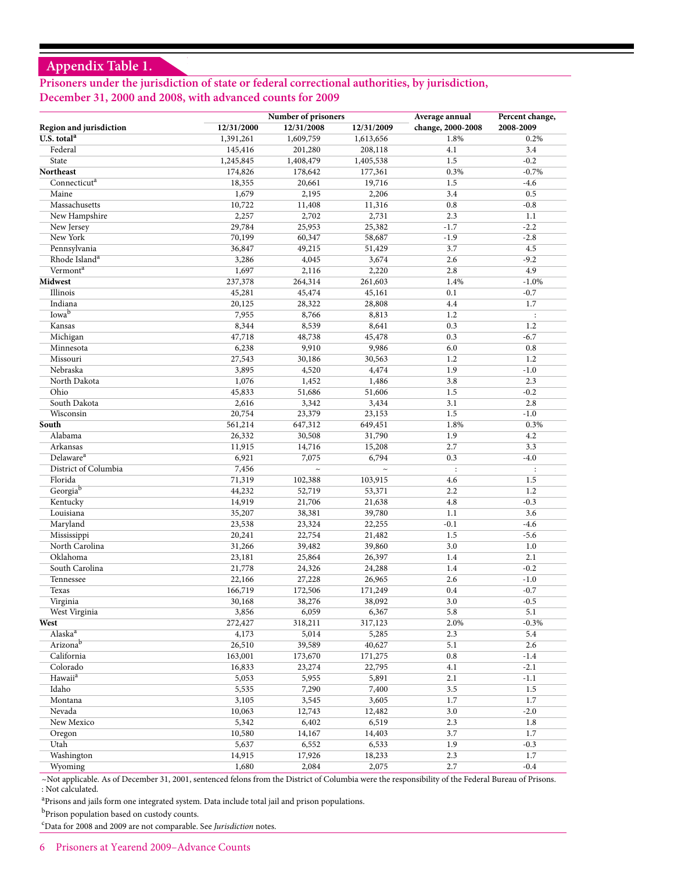### **Appendix Table 1.**

### **Prisoners under the jurisdiction of state or federal correctional authorities, by jurisdiction, December 31, 2000 and 2008, with advanced counts for 2009**

|                           |            | Number of prisoners |            |                                     | Percent change,      |
|---------------------------|------------|---------------------|------------|-------------------------------------|----------------------|
| Region and jurisdiction   | 12/31/2000 | 12/31/2008          | 12/31/2009 | Average annual<br>change, 2000-2008 | 2008-2009            |
| U.S. total <sup>a</sup>   | 1,391,261  | 1,609,759           | 1,613,656  | 1.8%                                | 0.2%                 |
| Federal                   | 145,416    | 201,280             | 208,118    | 4.1                                 | 3.4                  |
| State                     | 1,245,845  | 1,408,479           | 1,405,538  | 1.5                                 | $-0.2$               |
| <b>Northeast</b>          | 174,826    | 178,642             | 177,361    | 0.3%                                | $-0.7%$              |
| Connecticut <sup>a</sup>  | 18,355     | 20,661              | 19,716     | 1.5                                 | $-4.6$               |
| Maine                     | 1,679      | 2,195               | 2,206      | 3.4                                 | 0.5                  |
| Massachusetts             | 10,722     | 11,408              | 11,316     | 0.8                                 | $-0.8$               |
| New Hampshire             | 2,257      | 2,702               | 2,731      | 2.3                                 | 1.1                  |
| New Jersey                | 29,784     | 25,953              | 25,382     | $-1.7$                              | $-2.2$               |
| New York                  | 70,199     | 60,347              | 58,687     | $-1.9$                              | $-2.8$               |
| Pennsylvania              | 36,847     | 49,215              | 51,429     | 3.7                                 | 4.5                  |
| Rhode Island <sup>a</sup> | 3,286      | 4,045               | 3,674      | 2.6                                 | $-9.2$               |
| Vermont <sup>a</sup>      | 1,697      | 2,116               | 2,220      | 2.8                                 | 4.9                  |
| <b>Midwest</b>            | 237,378    | 264,314             | 261,603    | 1.4%                                | $-1.0%$              |
| Illinois                  | 45,281     | 45,474              | 45,161     | 0.1                                 | $-0.7$               |
| Indiana                   | 20,125     | 28,322              | 28,808     | 4.4                                 | 1.7                  |
| Iowa <sup>b</sup>         | 7,955      | 8,766               | 8,813      | 1.2                                 | $\ddot{\phantom{a}}$ |
| Kansas                    | 8,344      | 8,539               | 8,641      | 0.3                                 | 1.2                  |
| Michigan                  | 47,718     | 48,738              | 45,478     | 0.3                                 | $-6.7$               |
| Minnesota                 | 6,238      | 9,910               | 9,986      | 6.0                                 | 0.8                  |
| Missouri                  | 27,543     | 30,186              | 30,563     | 1.2                                 | 1.2                  |
| Nebraska                  | 3,895      | 4,520               | 4,474      | 1.9                                 | $-1.0$               |
| North Dakota              | 1,076      | 1,452               | 1,486      | 3.8                                 | 2.3                  |
| Ohio                      | 45,833     | 51,686              | 51,606     | 1.5                                 | $-0.2$               |
| South Dakota              | 2,616      | 3,342               | 3,434      | 3.1                                 | 2.8                  |
| Wisconsin                 | 20,754     | 23,379              | 23,153     | 1.5                                 | $-1.0$               |
| South                     | 561,214    | 647,312             | 649,451    | 1.8%                                | 0.3%                 |
| Alabama                   | 26,332     | 30,508              | 31,790     | 1.9                                 | 4.2                  |
| Arkansas                  | 11,915     | 14,716              | 15,208     | 2.7                                 | 3.3                  |
| Delaware <sup>a</sup>     | 6,921      | 7,075               | 6,794      | 0.3                                 | $-4.0$               |
| District of Columbia      | 7,456      | $\sim$              | $\sim$     | $\ddot{\cdot}$                      | $\ddot{\cdot}$       |
| Florida                   | 71,319     | 102,388             | 103,915    | 4.6                                 | 1.5                  |
| Georgiab                  | 44,232     | 52,719              | 53,371     | 2.2                                 | 1.2                  |
| Kentucky                  | 14,919     | 21,706              | 21,638     | 4.8                                 | $-0.3$               |
| Louisiana                 | 35,207     | 38,381              | 39,780     | 1.1                                 | 3.6                  |
| Maryland                  | 23,538     | 23,324              | 22,255     | $-0.1$                              | $-4.6$               |
| Mississippi               | 20,241     | 22,754              | 21,482     | 1.5                                 | $-5.6$               |
| North Carolina            | 31,266     | 39,482              | 39,860     | 3.0                                 | 1.0                  |
| Oklahoma                  | 23,181     | 25,864              | 26,397     | 1.4                                 | 2.1                  |
| South Carolina            | 21,778     | 24,326              | 24,288     | 1.4                                 | $-0.2$               |
| Tennessee                 | 22,166     | 27,228              | 26,965     | 2.6                                 | $-1.0$               |
| Texas                     | 166,719    | 172,506             | 171,249    | 0.4                                 | $-0.7$               |
| Virginia                  | 30,168     | 38,276              | 38,092     | 3.0                                 | $-0.5$               |
| West Virginia             | 3,856      | 6,059               | 6,367      | 5.8                                 | 5.1                  |
| West                      | 272,427    | 318,211             | 317,123    | 2.0%                                | $-0.3%$              |
| Alaska <sup>a</sup>       | 4,173      | 5,014               | 5,285      | 2.3                                 | 5.4                  |
| Arizonab                  | 26,510     | 39,589              | 40,627     | 5.1                                 | 2.6                  |
| California                | 163,001    | 173,670             | 171,275    | 0.8                                 | $-1.4$               |
| Colorado                  | 16,833     | 23,274              | 22,795     | 4.1                                 | $-2.1$               |
| Hawaii <sup>a</sup>       | 5,053      | 5,955               | 5,891      | 2.1                                 | $-1.1$               |
| Idaho                     | 5,535      | 7,290               | 7,400      | 3.5                                 | 1.5                  |
| Montana                   | 3,105      | 3,545               | 3,605      | 1.7                                 | 1.7                  |
| Nevada                    | 10,063     | 12,743              | 12,482     | 3.0                                 | $-2.0$               |
| New Mexico                | 5,342      | 6,402               | 6,519      | 2.3                                 | 1.8                  |
| Oregon                    | 10,580     | 14,167              | 14,403     | 3.7                                 | 1.7                  |
| Utah                      | 5,637      | 6,552               | 6,533      | 1.9                                 | $-0.3$               |
| Washington                | 14,915     | 17,926              | 18,233     | 2.3                                 | 1.7                  |
| Wyoming                   | 1,680      | 2,084               | 2,075      | 2.7                                 | $-0.4$               |

~Not applicable. As of December 31, 2001, sentenced felons from the District of Columbia were the responsibility of the Federal Bureau of Prisons. : Not calculated.

<sup>a</sup>Prisons and jails form one integrated system. Data include total jail and prison populations.

 $^{\rm b}$  Prison population based on custody counts.

c Data for 2008 and 2009 are not comparable. See *Jurisdiction* notes.